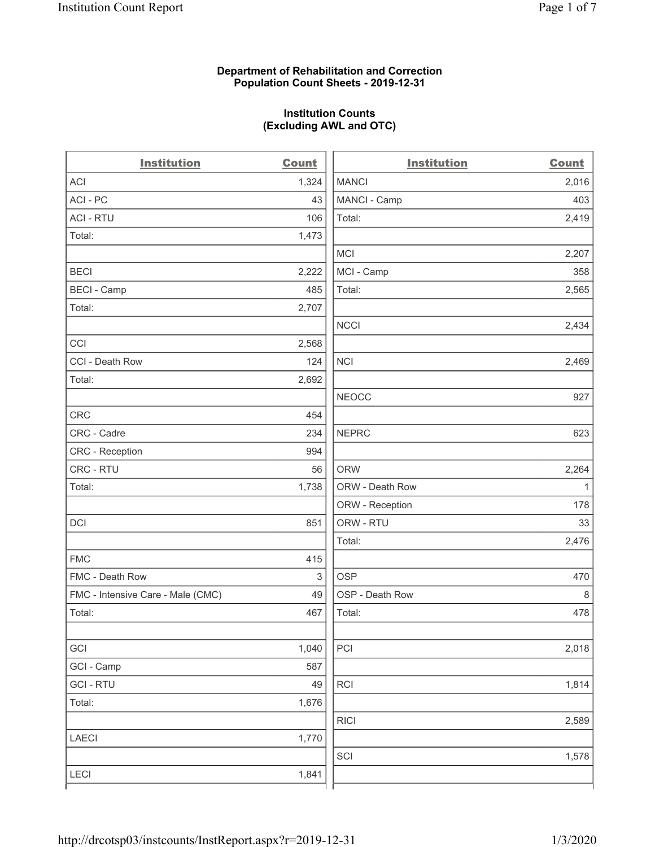## **Department of Rehabilitation and Correction Population Count Sheets - 2019-12-31**

# **Institution Counts (Excluding AWL and OTC)**

. .

| <b>Institution</b>                | <b>Count</b> | <b>Institution</b> | Count        |
|-----------------------------------|--------------|--------------------|--------------|
| <b>ACI</b>                        | 1,324        | <b>MANCI</b>       | 2,016        |
| ACI-PC                            | 43           | MANCI - Camp       | 403          |
| <b>ACI - RTU</b>                  | 106          | Total:             | 2,419        |
| Total:                            | 1,473        |                    |              |
|                                   |              | MCI                | 2,207        |
| <b>BECI</b>                       | 2,222        | MCI - Camp         | 358          |
| <b>BECI - Camp</b>                | 485          | Total:             | 2,565        |
| Total:                            | 2,707        |                    |              |
|                                   |              | <b>NCCI</b>        | 2,434        |
| CCI                               | 2,568        |                    |              |
| CCI - Death Row                   | 124          | <b>NCI</b>         | 2,469        |
| Total:                            | 2,692        |                    |              |
|                                   |              | <b>NEOCC</b>       | 927          |
| <b>CRC</b>                        | 454          |                    |              |
| CRC - Cadre                       | 234          | <b>NEPRC</b>       | 623          |
| <b>CRC</b> - Reception            | 994          |                    |              |
| CRC - RTU                         | 56           | <b>ORW</b>         | 2,264        |
| Total:                            | 1,738        | ORW - Death Row    | $\mathbf{1}$ |
|                                   |              | ORW - Reception    | 178          |
| DCI                               | 851          | ORW - RTU          | 33           |
|                                   |              | Total:             | 2,476        |
| <b>FMC</b>                        | 415          |                    |              |
| FMC - Death Row                   | $\sqrt{3}$   | <b>OSP</b>         | 470          |
| FMC - Intensive Care - Male (CMC) | 49           | OSP - Death Row    | 8            |
| Total:                            | 467          | Total:             | 478          |
|                                   |              |                    |              |
| GCI                               | 1,040        | PCI                | 2,018        |
| GCI - Camp                        | 587          |                    |              |
| <b>GCI-RTU</b>                    | 49           | <b>RCI</b>         | 1,814        |
| Total:                            | 1,676        |                    |              |
|                                   |              | <b>RICI</b>        | 2,589        |
| <b>LAECI</b>                      | 1,770        |                    |              |
|                                   |              | SCI                | 1,578        |
| <b>LECI</b>                       | 1,841        |                    |              |
|                                   |              |                    |              |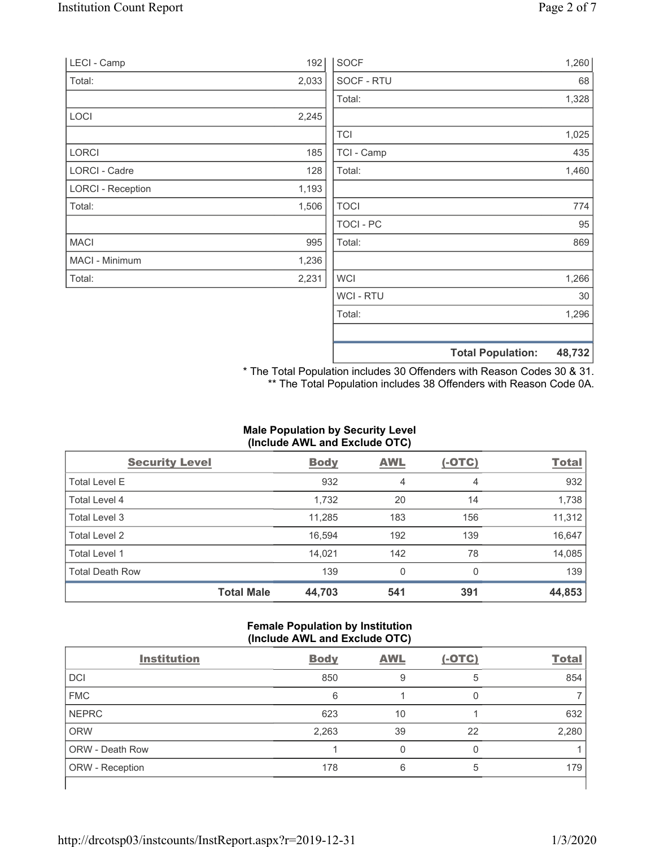| LECI - Camp              | 192   | <b>SOCF</b>    |                          | 1,260  |
|--------------------------|-------|----------------|--------------------------|--------|
| Total:                   | 2,033 | SOCF - RTU     |                          | 68     |
|                          |       | Total:         |                          | 1,328  |
| LOCI                     | 2,245 |                |                          |        |
|                          |       | <b>TCI</b>     |                          | 1,025  |
| LORCI                    | 185   | TCI - Camp     |                          | 435    |
| LORCI - Cadre            | 128   | Total:         |                          | 1,460  |
| <b>LORCI - Reception</b> | 1,193 |                |                          |        |
| Total:                   | 1,506 | <b>TOCI</b>    |                          | 774    |
|                          |       | <b>TOCI-PC</b> |                          | 95     |
| <b>MACI</b>              | 995   | Total:         |                          | 869    |
| MACI - Minimum           | 1,236 |                |                          |        |
| Total:                   | 2,231 | <b>WCI</b>     |                          | 1,266  |
|                          |       | <b>WCI-RTU</b> |                          | 30     |
|                          |       | Total:         |                          | 1,296  |
|                          |       |                | <b>Total Population:</b> | 48,732 |

\* The Total Population includes 30 Offenders with Reason Codes 30 & 31. \*\* The Total Population includes 38 Offenders with Reason Code 0A.

# **Male Population by Security Level (Include AWL and Exclude OTC)**

| <b>Security Level</b>  |                   | <b>Body</b> | <b>AWL</b>     | $(-OTC)$ | <b>Total</b> |
|------------------------|-------------------|-------------|----------------|----------|--------------|
| <b>Total Level E</b>   |                   | 932         | $\overline{4}$ | 4        | 932          |
| Total Level 4          |                   | 1,732       | 20             | 14       | 1,738        |
| Total Level 3          |                   | 11,285      | 183            | 156      | 11,312       |
| Total Level 2          |                   | 16,594      | 192            | 139      | 16,647       |
| Total Level 1          |                   | 14,021      | 142            | 78       | 14,085       |
| <b>Total Death Row</b> |                   | 139         | 0              | $\Omega$ | 139          |
|                        | <b>Total Male</b> | 44,703      | 541            | 391      | 44,853       |

# **Female Population by Institution (Include AWL and Exclude OTC)**

| <b>Institution</b>     | <b>Body</b> | <b>AWL</b> | $(-OTC)$ | <b>Total</b> |
|------------------------|-------------|------------|----------|--------------|
| <b>DCI</b>             | 850         | 9          | 5        | 854          |
| <b>FMC</b>             | 6           |            |          |              |
| <b>NEPRC</b>           | 623         | 10         |          | 632          |
| <b>ORW</b>             | 2,263       | 39         | 22       | 2,280        |
| <b>ORW - Death Row</b> |             |            |          |              |
| <b>ORW</b> - Reception | 178         | 6          | 5        | 179          |
|                        |             |            |          |              |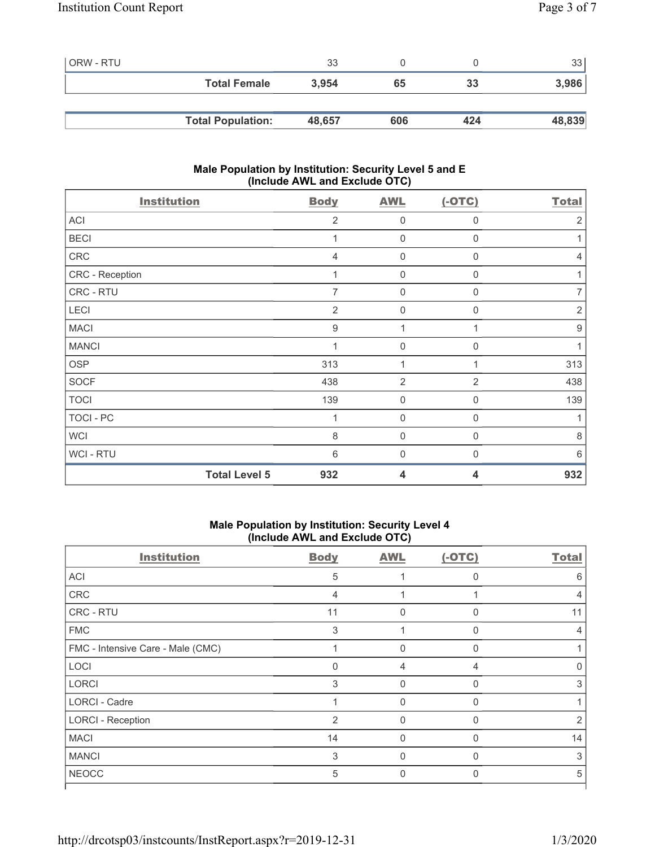| ORW - RTU |                          | 33     |     |     | 33     |
|-----------|--------------------------|--------|-----|-----|--------|
|           | <b>Total Female</b>      | 3.954  | 65  | 33  | 3,986  |
|           |                          |        |     |     |        |
|           | <b>Total Population:</b> | 48,657 | 606 | 424 | 48,839 |

# **Male Population by Institution: Security Level 5 and E (Include AWL and Exclude OTC)**

| <b>Institution</b> | <b>Body</b>                 | <b>AWL</b>              | $(-OTC)$       | <b>Total</b>     |
|--------------------|-----------------------------|-------------------------|----------------|------------------|
| ACI                | 2                           | $\mathbf 0$             | 0              | $\overline{2}$   |
| <b>BECI</b>        |                             | $\mathbf 0$             | $\mathbf 0$    | 1                |
| CRC                | $\overline{4}$              | $\overline{0}$          | $\Omega$       | $\overline{4}$   |
| CRC - Reception    |                             | $\boldsymbol{0}$        | $\mathbf 0$    | 1                |
| CRC - RTU          | 7                           | 0                       | 0              | $\overline{7}$   |
| LECI               | 2                           | $\overline{0}$          | 0              | $\sqrt{2}$       |
| <b>MACI</b>        | $\boldsymbol{9}$            | 1                       |                | $\boldsymbol{9}$ |
| <b>MANCI</b>       |                             | $\mathbf 0$             | $\mathbf 0$    | 1                |
| <b>OSP</b>         | 313                         | 1                       | 1              | 313              |
| <b>SOCF</b>        | 438                         | $\overline{2}$          | $\overline{2}$ | 438              |
| <b>TOCI</b>        | 139                         | $\boldsymbol{0}$        | 0              | 139              |
| TOCI - PC          |                             | $\boldsymbol{0}$        | 0              | 1                |
| <b>WCI</b>         | 8                           | $\overline{0}$          | 0              | $\,8\,$          |
| WCI-RTU            | 6                           | $\overline{0}$          | O              | 6                |
|                    | <b>Total Level 5</b><br>932 | $\overline{\mathbf{4}}$ | 4              | 932              |

# **Male Population by Institution: Security Level 4 (Include AWL and Exclude OTC)**

| <b>Institution</b>                | <b>Body</b>    | <b>AWL</b> | $(-OTC)$     | <b>Total</b> |
|-----------------------------------|----------------|------------|--------------|--------------|
| <b>ACI</b>                        | 5              |            | $\mathbf{0}$ | 6            |
| CRC                               | 4              |            |              | 4            |
| CRC - RTU                         | 11             | 0          | $\Omega$     | 11           |
| <b>FMC</b>                        | 3              |            | $\Omega$     | 4            |
| FMC - Intensive Care - Male (CMC) |                | 0          | $\Omega$     |              |
| LOCI                              | $\Omega$       | 4          | 4            |              |
| <b>LORCI</b>                      | 3              | $\Omega$   | $\Omega$     | 3            |
| <b>LORCI - Cadre</b>              | 1              | $\Omega$   | $\Omega$     |              |
| <b>LORCI - Reception</b>          | $\overline{2}$ | $\Omega$   | $\Omega$     | 2            |
| <b>MACI</b>                       | 14             | $\Omega$   | $\Omega$     | 14           |
| <b>MANCI</b>                      | 3              | $\Omega$   | $\Omega$     | 3            |
| <b>NEOCC</b>                      | 5              | $\Omega$   | $\Omega$     | 5            |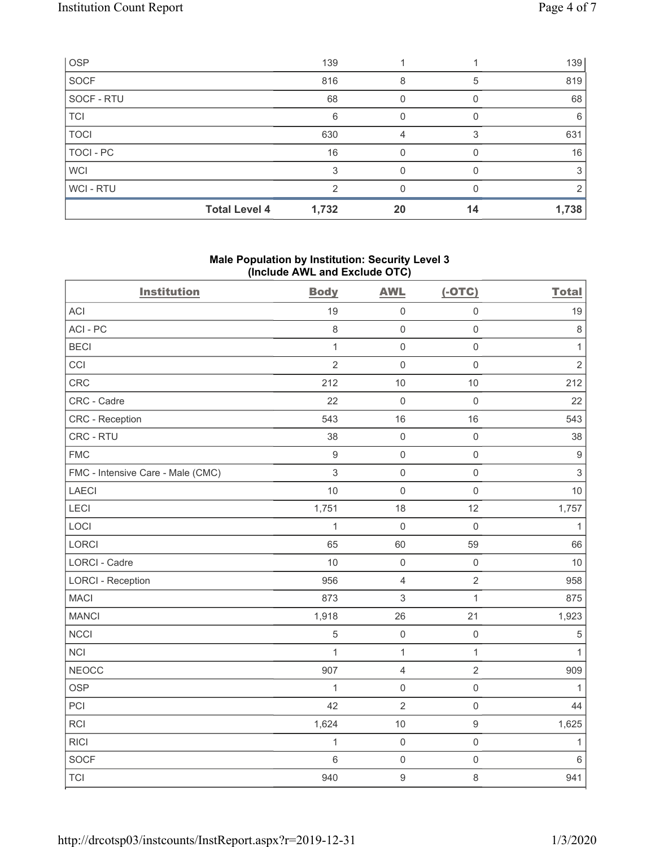| <b>OSP</b>       |                      | 139   |    |    | 139   |
|------------------|----------------------|-------|----|----|-------|
| <b>SOCF</b>      |                      | 816   | 8  | 5  | 819   |
| SOCF - RTU       |                      | 68    |    |    | 68    |
| <b>TCI</b>       |                      | 6     | 0  |    | 6     |
| <b>TOCI</b>      |                      | 630   | 4  |    | 631   |
| <b>TOCI - PC</b> |                      | 16    | U  |    | 16    |
| <b>WCI</b>       |                      | ີ     |    |    | 3     |
| WCI-RTU          |                      | ◠     |    |    |       |
|                  | <b>Total Level 4</b> | 1,732 | 20 | 14 | 1,738 |

## **Male Population by Institution: Security Level 3 (Include AWL and Exclude OTC)**

| <b>Institution</b>                | <b>Body</b>      | <b>AWL</b>     | $(-OTC)$            | <b>Total</b>              |
|-----------------------------------|------------------|----------------|---------------------|---------------------------|
| <b>ACI</b>                        | 19               | $\mathsf 0$    | $\mathsf 0$         | 19                        |
| ACI-PC                            | $\,8\,$          | $\mathbf 0$    | $\mathbf 0$         | $\,8\,$                   |
| <b>BECI</b>                       | $\mathbf{1}$     | $\mathbf 0$    | $\mathbf 0$         | $\mathbf{1}$              |
| CCI                               | $\overline{2}$   | $\mathbf 0$    | $\mathbf 0$         | $\sqrt{2}$                |
| CRC                               | 212              | 10             | 10                  | 212                       |
| CRC - Cadre                       | 22               | $\mathbf 0$    | $\mathsf{O}\xspace$ | 22                        |
| <b>CRC</b> - Reception            | 543              | 16             | 16                  | 543                       |
| CRC - RTU                         | 38               | $\mathbf 0$    | $\mathsf{O}\xspace$ | 38                        |
| <b>FMC</b>                        | $\boldsymbol{9}$ | $\mathbf 0$    | $\mathsf 0$         | $\boldsymbol{9}$          |
| FMC - Intensive Care - Male (CMC) | 3                | $\mathsf 0$    | $\mathsf{O}\xspace$ | $\ensuremath{\mathsf{3}}$ |
| <b>LAECI</b>                      | 10               | $\mathbf 0$    | $\mathsf 0$         | $10$                      |
| LECI                              | 1,751            | 18             | 12                  | 1,757                     |
| LOCI                              | $\mathbf{1}$     | $\mathbf 0$    | $\mathsf 0$         | $\mathbf{1}$              |
| LORCI                             | 65               | 60             | 59                  | 66                        |
| LORCI - Cadre                     | 10               | $\mathbf 0$    | $\mathsf 0$         | 10                        |
| <b>LORCI - Reception</b>          | 956              | $\sqrt{4}$     | $\overline{2}$      | 958                       |
| <b>MACI</b>                       | 873              | $\mathfrak{S}$ | $\mathbf{1}$        | 875                       |
| <b>MANCI</b>                      | 1,918            | 26             | 21                  | 1,923                     |
| <b>NCCI</b>                       | 5                | $\mathbf 0$    | $\mathsf 0$         | $\sqrt{5}$                |
| <b>NCI</b>                        | 1                | $\mathbf{1}$   | $\mathbf{1}$        | 1                         |
| <b>NEOCC</b>                      | 907              | $\overline{4}$ | $\overline{2}$      | 909                       |
| <b>OSP</b>                        | $\mathbf{1}$     | $\mathsf 0$    | $\mathsf 0$         | $\mathbf{1}$              |
| PCI                               | 42               | $\sqrt{2}$     | $\mathsf 0$         | 44                        |
| RCI                               | 1,624            | 10             | $\boldsymbol{9}$    | 1,625                     |
| <b>RICI</b>                       | $\mathbf{1}$     | $\mathbf 0$    | $\mathsf{O}\xspace$ | $\mathbf{1}$              |
| SOCF                              | 6                | $\mathbf 0$    | $\mathsf 0$         | $\,6\,$                   |
| <b>TCI</b>                        | 940              | $9$            | 8                   | 941                       |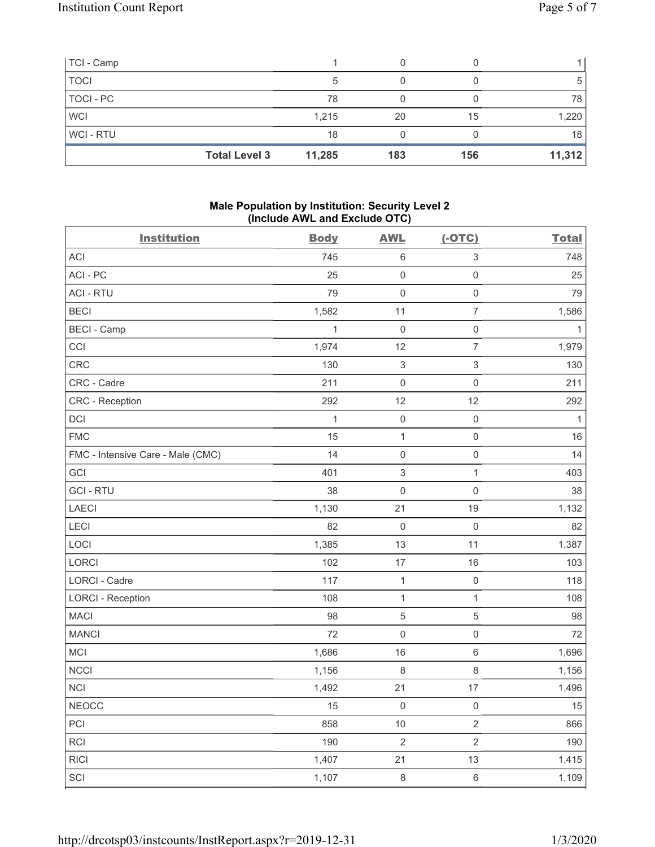| TCI - Camp  |                      |        |     |     |        |
|-------------|----------------------|--------|-----|-----|--------|
| <b>TOCI</b> |                      | 5      |     |     | 5      |
| TOCI - PC   |                      | 78     |     |     | 78     |
| <b>WCI</b>  |                      | 1,215  | 20  | 15  | 1,220  |
| WCI-RTU     |                      | 18     |     |     | 18     |
|             | <b>Total Level 3</b> | 11,285 | 183 | 156 | 11,312 |

# **Male Population by Institution: Security Level 2 (Include AWL and Exclude OTC)**

| <b>Institution</b>                | <b>Body</b>  | <b>AWL</b>                | $(-OTC)$            | <b>Total</b> |
|-----------------------------------|--------------|---------------------------|---------------------|--------------|
| ACI                               | 745          | $\,6\,$                   | 3                   | 748          |
| ACI-PC                            | 25           | $\mathsf{O}\xspace$       | $\mathsf{O}\xspace$ | 25           |
| <b>ACI - RTU</b>                  | 79           | $\mathbf 0$               | $\,0\,$             | 79           |
| <b>BECI</b>                       | 1,582        | 11                        | $\overline{7}$      | 1,586        |
| <b>BECI - Camp</b>                | 1            | $\mathsf{O}\xspace$       | $\mathsf{O}\xspace$ | $\mathbf{1}$ |
| CCI                               | 1,974        | 12                        | $\overline{7}$      | 1,979        |
| CRC                               | 130          | $\,$ 3 $\,$               | $\sqrt{3}$          | 130          |
| CRC - Cadre                       | 211          | $\mathsf 0$               | $\mathsf{O}\xspace$ | 211          |
| <b>CRC</b> - Reception            | 292          | 12                        | 12                  | 292          |
| DCI                               | $\mathbf{1}$ | $\mathsf{O}\xspace$       | $\mathsf{O}\xspace$ | $\mathbf{1}$ |
| <b>FMC</b>                        | 15           | $\mathbf{1}$              | $\mathsf{O}\xspace$ | 16           |
| FMC - Intensive Care - Male (CMC) | 14           | $\mathsf{O}\xspace$       | $\mathsf{O}\xspace$ | 14           |
| GCI                               | 401          | $\ensuremath{\mathsf{3}}$ | $\mathbf{1}$        | 403          |
| <b>GCI-RTU</b>                    | 38           | $\mathbf 0$               | $\mathsf 0$         | 38           |
| LAECI                             | 1,130        | 21                        | 19                  | 1,132        |
| LECI                              | 82           | $\mathbf 0$               | $\mathbf 0$         | 82           |
| LOCI                              | 1,385        | 13                        | 11                  | 1,387        |
| LORCI                             | 102          | 17                        | 16                  | 103          |
| LORCI - Cadre                     | 117          | $\mathbf{1}$              | $\mathsf 0$         | 118          |
| <b>LORCI - Reception</b>          | 108          | $\mathbf{1}$              | $\mathbf{1}$        | 108          |
| <b>MACI</b>                       | 98           | $\mathbf 5$               | $\mathbf 5$         | 98           |
| <b>MANCI</b>                      | 72           | $\mathsf{O}\xspace$       | $\,0\,$             | 72           |
| MCI                               | 1,686        | 16                        | 6                   | 1,696        |
| <b>NCCI</b>                       | 1,156        | $\,8\,$                   | 8                   | 1,156        |
| <b>NCI</b>                        | 1,492        | 21                        | 17                  | 1,496        |
| <b>NEOCC</b>                      | 15           | 0                         | 0                   | 15           |
| PCI                               | 858          | $10$                      | $\overline{2}$      | 866          |
| <b>RCI</b>                        | 190          | $\sqrt{2}$                | $\overline{2}$      | 190          |
| <b>RICI</b>                       | 1,407        | 21                        | 13                  | 1,415        |
| SCI                               | 1,107        | $\,8\,$                   | $\,6\,$             | 1,109        |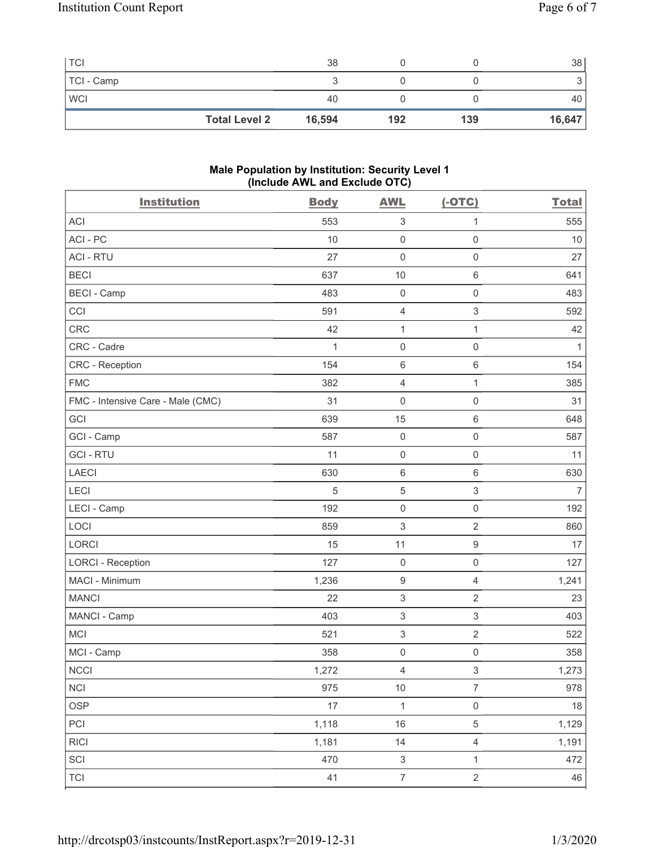| <b>TCI</b> |                      | 38     |     |     | 38     |
|------------|----------------------|--------|-----|-----|--------|
| TCI - Camp |                      |        |     |     | ◡      |
| <b>WCI</b> |                      | 40     |     |     | 40     |
|            | <b>Total Level 2</b> | 16,594 | 192 | 139 | 16,647 |

#### **Male Population by Institution: Security Level 1 (Include AWL and Exclude OTC)**

| <b>Institution</b>                | <b>Body</b>  | <b>AWL</b>                | $(-OTC)$                  | <b>Total</b> |
|-----------------------------------|--------------|---------------------------|---------------------------|--------------|
| <b>ACI</b>                        | 553          | $\ensuremath{\mathsf{3}}$ | 1                         | 555          |
| ACI-PC                            | 10           | $\mathsf{O}\xspace$       | $\mathsf{O}\xspace$       | 10           |
| <b>ACI - RTU</b>                  | 27           | $\mathsf{O}\xspace$       | $\mathbf 0$               | 27           |
| <b>BECI</b>                       | 637          | 10                        | $6\,$                     | 641          |
| <b>BECI - Camp</b>                | 483          | $\mathsf 0$               | $\mathbf 0$               | 483          |
| CCI                               | 591          | $\overline{4}$            | 3                         | 592          |
| <b>CRC</b>                        | 42           | $\mathbf{1}$              | 1                         | 42           |
| CRC - Cadre                       | $\mathbf{1}$ | $\mathsf 0$               | $\mathbf 0$               | 1            |
| <b>CRC</b> - Reception            | 154          | $\,6\,$                   | $\,6\,$                   | 154          |
| <b>FMC</b>                        | 382          | $\overline{4}$            | 1                         | 385          |
| FMC - Intensive Care - Male (CMC) | 31           | $\mathsf{O}\xspace$       | $\mathbf 0$               | 31           |
| GCI                               | 639          | 15                        | $\,6\,$                   | 648          |
| GCI - Camp                        | 587          | $\mathsf{O}\xspace$       | $\mathbf 0$               | 587          |
| <b>GCI-RTU</b>                    | 11           | $\mathsf{O}\xspace$       | $\mathbf 0$               | 11           |
| <b>LAECI</b>                      | 630          | $\,6\,$                   | $6\,$                     | 630          |
| LECI                              | 5            | $\mathbf 5$               | 3                         | 7            |
| LECI - Camp                       | 192          | $\mathsf{O}\xspace$       | $\mathsf{O}\xspace$       | 192          |
| LOCI                              | 859          | $\ensuremath{\mathsf{3}}$ | $\sqrt{2}$                | 860          |
| LORCI                             | 15           | 11                        | $\boldsymbol{9}$          | 17           |
| <b>LORCI - Reception</b>          | 127          | $\mathsf 0$               | $\mathsf{O}\xspace$       | 127          |
| MACI - Minimum                    | 1,236        | $\boldsymbol{9}$          | $\overline{4}$            | 1,241        |
| <b>MANCI</b>                      | 22           | $\,$ 3 $\,$               | $\overline{2}$            | 23           |
| MANCI - Camp                      | 403          | $\,$ 3 $\,$               | $\ensuremath{\mathsf{3}}$ | 403          |
| <b>MCI</b>                        | 521          | $\ensuremath{\mathsf{3}}$ | $\overline{2}$            | 522          |
| MCI - Camp                        | 358          | $\mathsf 0$               | $\mathsf{O}\xspace$       | 358          |
| NCCI                              | 1,272        | 4                         | $\ensuremath{\mathsf{3}}$ | 1,273        |
| <b>NCI</b>                        | 975          | $10$                      | $\boldsymbol{7}$          | 978          |
| <b>OSP</b>                        | 17           | $\mathbf{1}$              | $\mathbf 0$               | 18           |
| PCI                               | 1,118        | 16                        | $\sqrt{5}$                | 1,129        |
| <b>RICI</b>                       | 1,181        | 14                        | $\sqrt{4}$                | 1,191        |
| SCI                               | 470          | $\sqrt{3}$                | $\mathbf{1}$              | 472          |
| <b>TCI</b>                        | 41           | $\boldsymbol{7}$          | $\sqrt{2}$                | 46           |